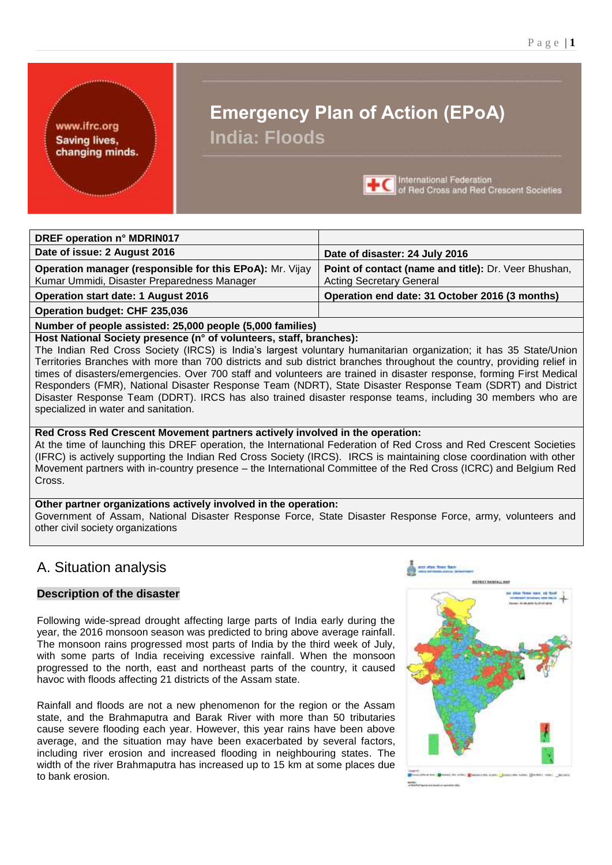<span id="page-0-0"></span>www.ifrc.org **Saving lives,** changing minds.

# **Emergency Plan of Action (EPoA)**

**India: Floods**



International Federation<br>of Red Cross and Red Crescent Societies

#### **DREF operation n° MDRIN017 Date of issue: 2 August 2016 Date of disaster: 24 July 2016 Operation manager (responsible for this EPoA):** Mr. Vijay Kumar Ummidi, Disaster Preparedness Manager **Point of contact (name and title):** Dr. Veer Bhushan, Acting Secretary General **Operation start date: 1 August 2016 Operation end date: 31 October 2016 (3 months) Operation budget: CHF 235,036**

**Number of people assisted: 25,000 people (5,000 families)**

#### **Host National Society presence (n° of volunteers, staff, branches):**

The Indian Red Cross Society (IRCS) is India's largest voluntary humanitarian organization; it has 35 State/Union Territories Branches with more than 700 districts and sub district branches throughout the country, providing relief in times of disasters/emergencies. Over 700 staff and volunteers are trained in disaster response, forming First Medical Responders (FMR), National Disaster Response Team (NDRT), State Disaster Response Team (SDRT) and District Disaster Response Team (DDRT). IRCS has also trained disaster response teams, including 30 members who are specialized in water and sanitation.

#### **Red Cross Red Crescent Movement partners actively involved in the operation:**

At the time of launching this DREF operation, the International Federation of Red Cross and Red Crescent Societies (IFRC) is actively supporting the Indian Red Cross Society (IRCS). IRCS is maintaining close coordination with other Movement partners with in-country presence – the International Committee of the Red Cross (ICRC) and Belgium Red Cross.

#### **Other partner organizations actively involved in the operation:**

Government of Assam, National Disaster Response Force, State Disaster Response Force, army, volunteers and other civil society organizations

### A. Situation analysis

#### **Description of the disaster**

Following wide-spread drought affecting large parts of India early during the year, the 2016 monsoon season was predicted to bring above average rainfall. The monsoon rains progressed most parts of India by the third week of July, with some parts of India receiving excessive rainfall. When the monsoon progressed to the north, east and northeast parts of the country, it caused havoc with floods affecting 21 districts of the Assam state.

Rainfall and floods are not a new phenomenon for the region or the Assam state, and the Brahmaputra and Barak River with more than 50 tributaries cause severe flooding each year. However, this year rains have been above average, and the situation may have been exacerbated by several factors, including river erosion and increased flooding in neighbouring states. The width of the river Brahmaputra has increased up to 15 km at some places due to bank erosion.

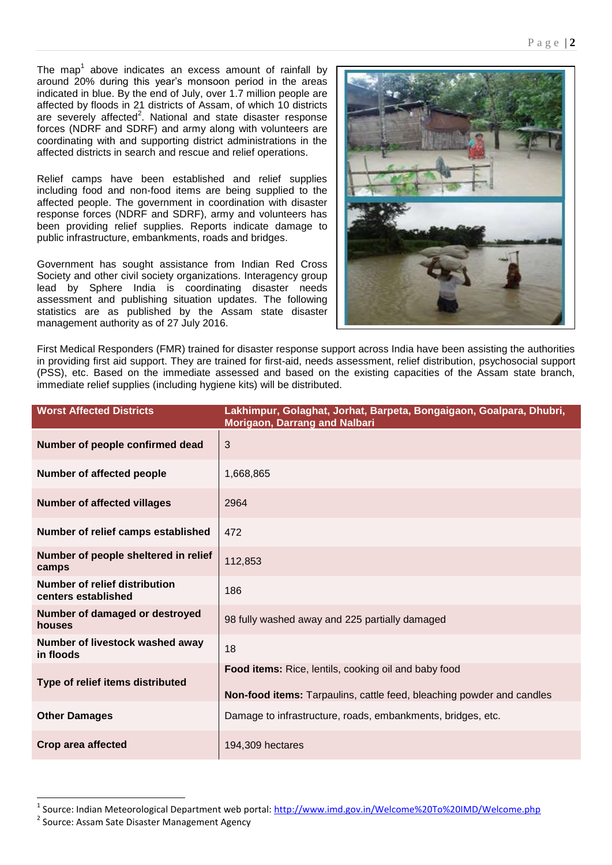The map<sup>1</sup> above indicates an excess amount of rainfall by around 20% during this year's monsoon period in the areas indicated in blue. By the end of July, over 1.7 million people are affected by floods in 21 districts of Assam, of which 10 districts are severely affected<sup>2</sup>. National and state disaster response forces (NDRF and SDRF) and army along with volunteers are coordinating with and supporting district administrations in the affected districts in search and rescue and relief operations.

Relief camps have been established and relief supplies including food and non-food items are being supplied to the affected people. The government in coordination with disaster response forces (NDRF and SDRF), army and volunteers has been providing relief supplies. Reports indicate damage to public infrastructure, embankments, roads and bridges.

Government has sought assistance from Indian Red Cross Society and other civil society organizations. Interagency group lead by Sphere India is coordinating disaster needs assessment and publishing situation updates. The following statistics are as published by the Assam state disaster management authority as of 27 July 2016.



First Medical Responders (FMR) trained for disaster response support across India have been assisting the authorities in providing first aid support. They are trained for first-aid, needs assessment, relief distribution, psychosocial support (PSS), etc. Based on the immediate assessed and based on the existing capacities of the Assam state branch, immediate relief supplies (including hygiene kits) will be distributed.

| <b>Worst Affected Districts</b>                      | Lakhimpur, Golaghat, Jorhat, Barpeta, Bongaigaon, Goalpara, Dhubri,<br><b>Morigaon, Darrang and Nalbari</b>                                 |
|------------------------------------------------------|---------------------------------------------------------------------------------------------------------------------------------------------|
| Number of people confirmed dead                      | 3                                                                                                                                           |
| Number of affected people                            | 1,668,865                                                                                                                                   |
| <b>Number of affected villages</b>                   | 2964                                                                                                                                        |
| Number of relief camps established                   | 472                                                                                                                                         |
| Number of people sheltered in relief<br>camps        | 112,853                                                                                                                                     |
| Number of relief distribution<br>centers established | 186                                                                                                                                         |
| Number of damaged or destroyed<br>houses             | 98 fully washed away and 225 partially damaged                                                                                              |
| Number of livestock washed away<br>in floods         | 18                                                                                                                                          |
| Type of relief items distributed                     | <b>Food items:</b> Rice, lentils, cooking oil and baby food<br><b>Non-food items:</b> Tarpaulins, cattle feed, bleaching powder and candles |
| <b>Other Damages</b>                                 | Damage to infrastructure, roads, embankments, bridges, etc.                                                                                 |
| <b>Crop area affected</b>                            | 194,309 hectares                                                                                                                            |

<sup>1</sup> 1 Source: Indian Meteorological Department web portal:<http://www.imd.gov.in/Welcome%20To%20IMD/Welcome.php>

<sup>&</sup>lt;sup>2</sup> Source: Assam Sate Disaster Management Agency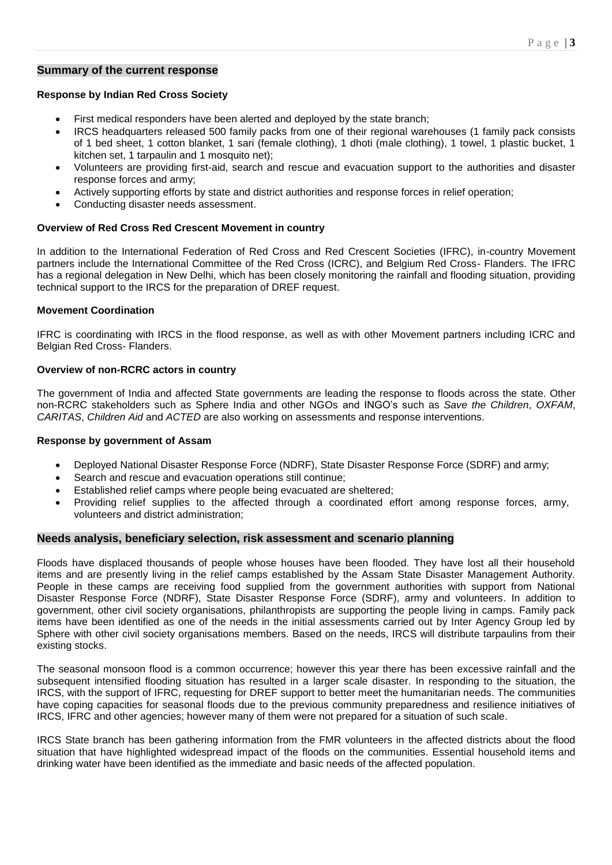#### **Summary of the current response**

#### **Response by Indian Red Cross Society**

- First medical responders have been alerted and deployed by the state branch;
- IRCS headquarters released 500 family packs from one of their regional warehouses (1 family pack consists of 1 bed sheet, 1 cotton blanket, 1 sari (female clothing), 1 dhoti (male clothing), 1 towel, 1 plastic bucket, 1 kitchen set, 1 tarpaulin and 1 mosquito net);
- Volunteers are providing first-aid, search and rescue and evacuation support to the authorities and disaster response forces and army;
- Actively supporting efforts by state and district authorities and response forces in relief operation;
- Conducting disaster needs assessment.

#### **Overview of Red Cross Red Crescent Movement in country**

In addition to the International Federation of Red Cross and Red Crescent Societies (IFRC), in-country Movement partners include the International Committee of the Red Cross (ICRC), and Belgium Red Cross- Flanders. The IFRC has a regional delegation in New Delhi, which has been closely monitoring the rainfall and flooding situation, providing technical support to the IRCS for the preparation of DREF request.

#### **Movement Coordination**

IFRC is coordinating with IRCS in the flood response, as well as with other Movement partners including ICRC and Belgian Red Cross- Flanders.

#### **Overview of non-RCRC actors in country**

The government of India and affected State governments are leading the response to floods across the state. Other non-RCRC stakeholders such as Sphere India and other NGOs and INGO's such as *Save the Children*, *OXFAM*, *CARITAS*, *Children Aid* and *ACTED* are also working on assessments and response interventions.

#### **Response by government of Assam**

- Deployed National Disaster Response Force (NDRF), State Disaster Response Force (SDRF) and army;
- Search and rescue and evacuation operations still continue;
- Established relief camps where people being evacuated are sheltered;
- Providing relief supplies to the affected through a coordinated effort among response forces, army, volunteers and district administration;

#### **Needs analysis, beneficiary selection, risk assessment and scenario planning**

Floods have displaced thousands of people whose houses have been flooded. They have lost all their household items and are presently living in the relief camps established by the Assam State Disaster Management Authority. People in these camps are receiving food supplied from the government authorities with support from National Disaster Response Force (NDRF), State Disaster Response Force (SDRF), army and volunteers. In addition to government, other civil society organisations, philanthropists are supporting the people living in camps. Family pack items have been identified as one of the needs in the initial assessments carried out by Inter Agency Group led by Sphere with other civil society organisations members. Based on the needs, IRCS will distribute tarpaulins from their existing stocks.

The seasonal monsoon flood is a common occurrence; however this year there has been excessive rainfall and the subsequent intensified flooding situation has resulted in a larger scale disaster. In responding to the situation, the IRCS, with the support of IFRC, requesting for DREF support to better meet the humanitarian needs. The communities have coping capacities for seasonal floods due to the previous community preparedness and resilience initiatives of IRCS, IFRC and other agencies; however many of them were not prepared for a situation of such scale.

IRCS State branch has been gathering information from the FMR volunteers in the affected districts about the flood situation that have highlighted widespread impact of the floods on the communities. Essential household items and drinking water have been identified as the immediate and basic needs of the affected population.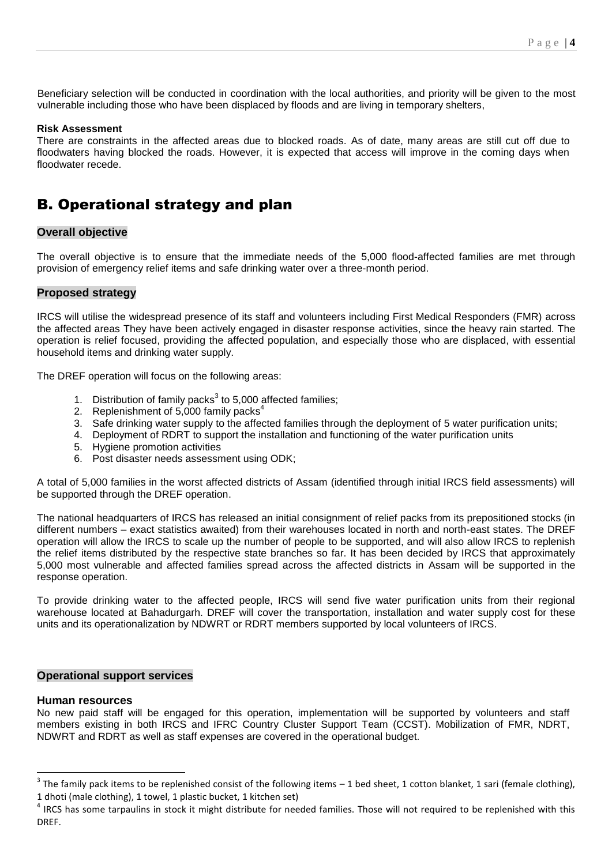Beneficiary selection will be conducted in coordination with the local authorities, and priority will be given to the most vulnerable including those who have been displaced by floods and are living in temporary shelters,

#### **Risk Assessment**

There are constraints in the affected areas due to blocked roads. As of date, many areas are still cut off due to floodwaters having blocked the roads. However, it is expected that access will improve in the coming days when floodwater recede.

### B. Operational strategy and plan

#### **Overall objective**

The overall objective is to ensure that the immediate needs of the 5,000 flood-affected families are met through provision of emergency relief items and safe drinking water over a three-month period.

#### **Proposed strategy**

IRCS will utilise the widespread presence of its staff and volunteers including First Medical Responders (FMR) across the affected areas They have been actively engaged in disaster response activities, since the heavy rain started. The operation is relief focused, providing the affected population, and especially those who are displaced, with essential household items and drinking water supply.

The DREF operation will focus on the following areas:

- 1. Distribution of family packs $3$  to 5,000 affected families;
- 2. Replenishment of  $5,000$  family packs<sup>4</sup>
- 3. Safe drinking water supply to the affected families through the deployment of 5 water purification units;
- 4. Deployment of RDRT to support the installation and functioning of the water purification units
- 5. Hygiene promotion activities
- 6. Post disaster needs assessment using ODK;

A total of 5,000 families in the worst affected districts of Assam (identified through initial IRCS field assessments) will be supported through the DREF operation.

The national headquarters of IRCS has released an initial consignment of relief packs from its prepositioned stocks (in different numbers – exact statistics awaited) from their warehouses located in north and north-east states. The DREF operation will allow the IRCS to scale up the number of people to be supported, and will also allow IRCS to replenish the relief items distributed by the respective state branches so far. It has been decided by IRCS that approximately 5,000 most vulnerable and affected families spread across the affected districts in Assam will be supported in the response operation.

To provide drinking water to the affected people, IRCS will send five water purification units from their regional warehouse located at Bahadurgarh. DREF will cover the transportation, installation and water supply cost for these units and its operationalization by NDWRT or RDRT members supported by local volunteers of IRCS.

#### **Operational support services**

#### **Human resources**

1

No new paid staff will be engaged for this operation, implementation will be supported by volunteers and staff members existing in both IRCS and IFRC Country Cluster Support Team (CCST). Mobilization of FMR, NDRT, NDWRT and RDRT as well as staff expenses are covered in the operational budget.

 $^3$  The family pack items to be replenished consist of the following items  $-1$  bed sheet, 1 cotton blanket, 1 sari (female clothing), 1 dhoti (male clothing), 1 towel, 1 plastic bucket, 1 kitchen set)

<sup>4</sup> IRCS has some tarpaulins in stock it might distribute for needed families. Those will not required to be replenished with this DREF.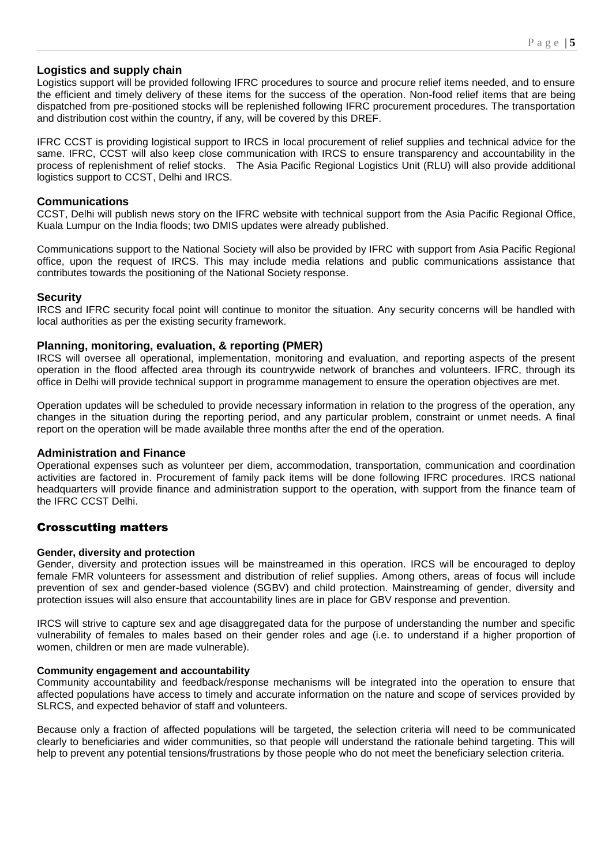#### **Logistics and supply chain**

Logistics support will be provided following IFRC procedures to source and procure relief items needed, and to ensure the efficient and timely delivery of these items for the success of the operation. Non-food relief items that are being dispatched from pre-positioned stocks will be replenished following IFRC procurement procedures. The transportation and distribution cost within the country, if any, will be covered by this DREF.

IFRC CCST is providing logistical support to IRCS in local procurement of relief supplies and technical advice for the same. IFRC, CCST will also keep close communication with IRCS to ensure transparency and accountability in the process of replenishment of relief stocks. The Asia Pacific Regional Logistics Unit (RLU) will also provide additional logistics support to CCST, Delhi and IRCS.

#### **Communications**

CCST, Delhi will publish news story on the IFRC website with technical support from the Asia Pacific Regional Office, Kuala Lumpur on the India floods; two DMIS updates were already published.

Communications support to the National Society will also be provided by IFRC with support from Asia Pacific Regional office, upon the request of IRCS. This may include media relations and public communications assistance that contributes towards the positioning of the National Society response.

#### **Security**

IRCS and IFRC security focal point will continue to monitor the situation. Any security concerns will be handled with local authorities as per the existing security framework.

#### **Planning, monitoring, evaluation, & reporting (PMER)**

IRCS will oversee all operational, implementation, monitoring and evaluation, and reporting aspects of the present operation in the flood affected area through its countrywide network of branches and volunteers. IFRC, through its office in Delhi will provide technical support in programme management to ensure the operation objectives are met.

Operation updates will be scheduled to provide necessary information in relation to the progress of the operation, any changes in the situation during the reporting period, and any particular problem, constraint or unmet needs. A final report on the operation will be made available three months after the end of the operation.

#### **Administration and Finance**

Operational expenses such as volunteer per diem, accommodation, transportation, communication and coordination activities are factored in. Procurement of family pack items will be done following IFRC procedures. IRCS national headquarters will provide finance and administration support to the operation, with support from the finance team of the IFRC CCST Delhi.

#### Crosscutting matters

#### **Gender, diversity and protection**

Gender, diversity and protection issues will be mainstreamed in this operation. IRCS will be encouraged to deploy female FMR volunteers for assessment and distribution of relief supplies. Among others, areas of focus will include prevention of sex and gender-based violence (SGBV) and child protection. Mainstreaming of gender, diversity and protection issues will also ensure that accountability lines are in place for GBV response and prevention.

IRCS will strive to capture sex and age disaggregated data for the purpose of understanding the number and specific vulnerability of females to males based on their gender roles and age (i.e. to understand if a higher proportion of women, children or men are made vulnerable).

#### **Community engagement and accountability**

Community accountability and feedback/response mechanisms will be integrated into the operation to ensure that affected populations have access to timely and accurate information on the nature and scope of services provided by SLRCS, and expected behavior of staff and volunteers.

Because only a fraction of affected populations will be targeted, the selection criteria will need to be communicated clearly to beneficiaries and wider communities, so that people will understand the rationale behind targeting. This will help to prevent any potential tensions/frustrations by those people who do not meet the beneficiary selection criteria.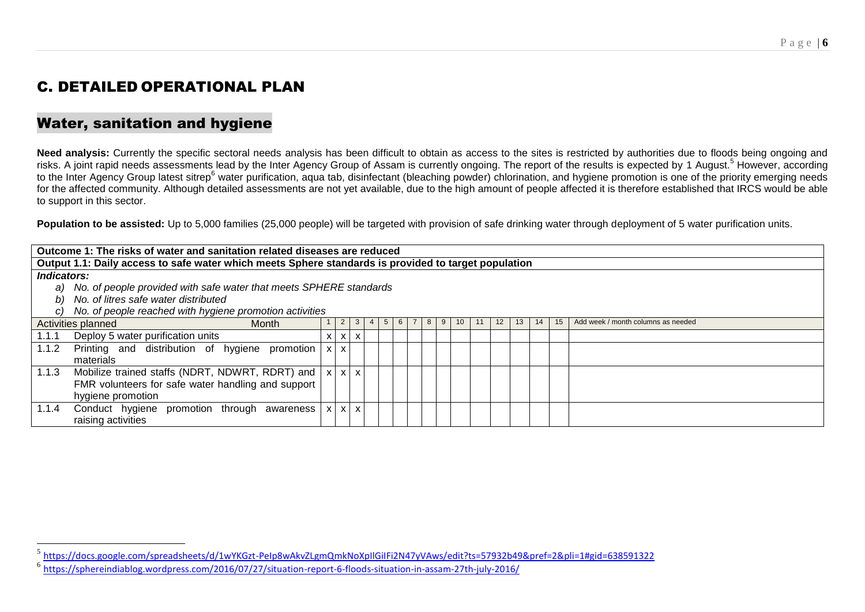## C. DETAILED OPERATIONAL PLAN

### Water, sanitation and hygiene

 $\overline{a}$ 

Need analysis: Currently the specific sectoral needs analysis has been difficult to obtain as access to the sites is restricted by authorities due to floods being ongoing and risks. A joint rapid needs assessments lead by the Inter Agency Group of Assam is currently ongoing. The report of the results is expected by 1 August.<sup>5</sup> However, according to the Inter Agency Group latest sitrep<sup>6</sup> water purification, aqua tab, disinfectant (bleaching powder) chlorination, and hygiene promotion is one of the priority emerging needs for the affected community. Although detailed assessments are not yet available, due to the high amount of people affected it is therefore established that IRCS would be able to support in this sector.

Population to be assisted: Up to 5,000 families (25,000 people) will be targeted with provision of safe drinking water through deployment of 5 water purification units.

| Outcome 1: The risks of water and sanitation related diseases are reduced                            |              |              |                   |  |  |  |  |  |    |  |    |    |    |                                    |
|------------------------------------------------------------------------------------------------------|--------------|--------------|-------------------|--|--|--|--|--|----|--|----|----|----|------------------------------------|
| Output 1.1: Daily access to safe water which meets Sphere standards is provided to target population |              |              |                   |  |  |  |  |  |    |  |    |    |    |                                    |
| Indicators:                                                                                          |              |              |                   |  |  |  |  |  |    |  |    |    |    |                                    |
| No. of people provided with safe water that meets SPHERE standards<br>a)                             |              |              |                   |  |  |  |  |  |    |  |    |    |    |                                    |
| No. of litres safe water distributed<br>b)                                                           |              |              |                   |  |  |  |  |  |    |  |    |    |    |                                    |
| No. of people reached with hygiene promotion activities<br>C)                                        |              |              |                   |  |  |  |  |  |    |  |    |    |    |                                    |
| Activities planned<br>Month                                                                          |              |              |                   |  |  |  |  |  | 10 |  | 12 | 13 | 15 | Add week / month columns as needed |
| Deploy 5 water purification units<br>1.1.1                                                           |              |              | $X$ $X$           |  |  |  |  |  |    |  |    |    |    |                                    |
| 1.1.2<br>Printing and distribution of hygiene promotion                                              | $\mathsf{x}$ | $\mathsf{x}$ |                   |  |  |  |  |  |    |  |    |    |    |                                    |
| materials                                                                                            |              |              |                   |  |  |  |  |  |    |  |    |    |    |                                    |
| 1.1.3<br>Mobilize trained staffs (NDRT, NDWRT, RDRT) and                                             |              |              | $x \mid x \mid x$ |  |  |  |  |  |    |  |    |    |    |                                    |
| FMR volunteers for safe water handling and support                                                   |              |              |                   |  |  |  |  |  |    |  |    |    |    |                                    |
| hygiene promotion                                                                                    |              |              |                   |  |  |  |  |  |    |  |    |    |    |                                    |
| 1.1.4<br>Conduct hygiene promotion through awareness                                                 | $\mathsf{X}$ |              | $x \mid x \mid$   |  |  |  |  |  |    |  |    |    |    |                                    |
| raising activities                                                                                   |              |              |                   |  |  |  |  |  |    |  |    |    |    |                                    |

<sup>5</sup> <https://docs.google.com/spreadsheets/d/1wYKGzt-PeIp8wAkvZLgmQmkNoXpIlGiIFi2N47yVAws/edit?ts=57932b49&pref=2&pli=1#gid=638591322>

<sup>6</sup> <https://sphereindiablog.wordpress.com/2016/07/27/situation-report-6-floods-situation-in-assam-27th-july-2016/>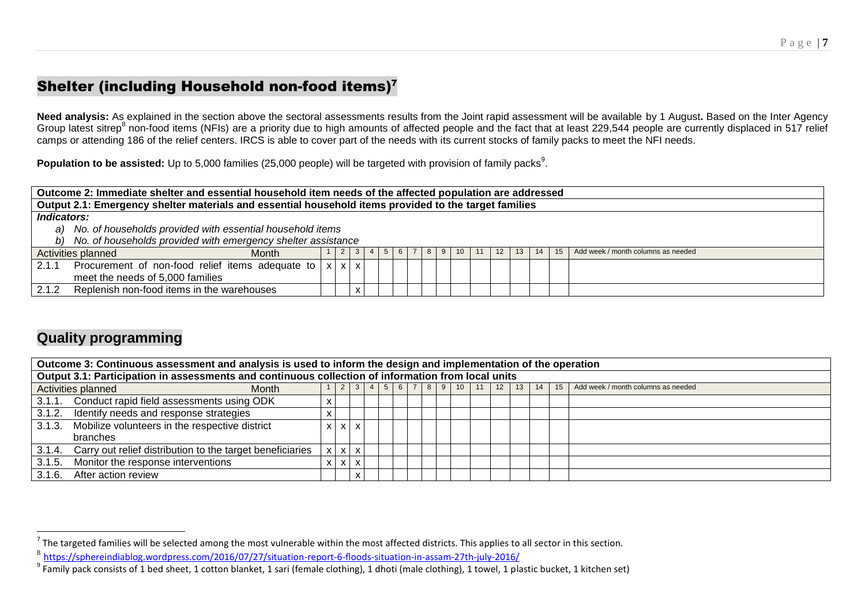### Shelter (including Household non-food items)<sup>7</sup>

**Need analysis:** As explained in the section above the sectoral assessments results from the Joint rapid assessment will be available by 1 August**.** Based on the Inter Agency Group latest sitrep<sup>8</sup> non-food items (NFIs) are a priority due to high amounts of affected people and the fact that at least 229,544 people are currently displaced in 517 relief camps or attending 186 of the relief centers. IRCS is able to cover part of the needs with its current stocks of family packs to meet the NFI needs.

Population to be assisted: Up to 5,000 families (25,000 people) will be targeted with provision of family packs<sup>9</sup>.

|                                                                                                       | Outcome 2: Immediate shelter and essential household item needs of the affected population are addressed |  |                |                   |                   |  |  |    |  |                 |  |            |                   |           |                                    |
|-------------------------------------------------------------------------------------------------------|----------------------------------------------------------------------------------------------------------|--|----------------|-------------------|-------------------|--|--|----|--|-----------------|--|------------|-------------------|-----------|------------------------------------|
| Output 2.1: Emergency shelter materials and essential household items provided to the target families |                                                                                                          |  |                |                   |                   |  |  |    |  |                 |  |            |                   |           |                                    |
|                                                                                                       | Indicators:                                                                                              |  |                |                   |                   |  |  |    |  |                 |  |            |                   |           |                                    |
| a)                                                                                                    | No. of households provided with essential household items                                                |  |                |                   |                   |  |  |    |  |                 |  |            |                   |           |                                    |
| b) No. of households provided with emergency shelter assistance                                       |                                                                                                          |  |                |                   |                   |  |  |    |  |                 |  |            |                   |           |                                    |
|                                                                                                       | Month<br>Activities planned                                                                              |  | 2 <sub>1</sub> |                   | 3   4   5   6   7 |  |  | 89 |  | 10 <sup>1</sup> |  | $\vert$ 12 | $13 \mid 14 \mid$ | $15 \mid$ | Add week / month columns as needed |
| 2.1.1                                                                                                 | Procurement of non-food relief items adequate to $ x x $                                                 |  |                |                   |                   |  |  |    |  |                 |  |            |                   |           |                                    |
|                                                                                                       | meet the needs of 5,000 families                                                                         |  |                |                   |                   |  |  |    |  |                 |  |            |                   |           |                                    |
| 2.1.2                                                                                                 | Replenish non-food items in the warehouses                                                               |  |                | $\checkmark$<br>↗ |                   |  |  |    |  |                 |  |            |                   |           |                                    |

### **Quality programming**

l

| $\mid$ Outcome 3: Continuous assessment and analysis is used to inform the design and implementation of the operation |              |    |                           |  |  |             |  |            |                 |  |  |                |                                         |
|-----------------------------------------------------------------------------------------------------------------------|--------------|----|---------------------------|--|--|-------------|--|------------|-----------------|--|--|----------------|-----------------------------------------|
| Output 3.1: Participation in assessments and continuous collection of information from local units                    |              |    |                           |  |  |             |  |            |                 |  |  |                |                                         |
| Activities planned<br>Month                                                                                           |              |    |                           |  |  | 2 3 4 5 6 7 |  | $8 \mid 9$ | 10 <sup>1</sup> |  |  | $12$   13   14 | 15   Add week / month columns as needed |
| 3.1.1. Conduct rapid field assessments using ODK                                                                      |              |    |                           |  |  |             |  |            |                 |  |  |                |                                         |
| 3.1.2. Identify needs and response strategies                                                                         |              |    |                           |  |  |             |  |            |                 |  |  |                |                                         |
| 3.1.3. Mobilize volunteers in the respective district                                                                 |              |    | $x \mid x$                |  |  |             |  |            |                 |  |  |                |                                         |
| branches                                                                                                              |              |    |                           |  |  |             |  |            |                 |  |  |                |                                         |
| 3.1.4. Carry out relief distribution to the target beneficiaries                                                      | $\mathbf{Y}$ |    | $X$ $X$                   |  |  |             |  |            |                 |  |  |                |                                         |
| 3.1.5. Monitor the response interventions                                                                             |              | X. | $\boldsymbol{\mathsf{x}}$ |  |  |             |  |            |                 |  |  |                |                                         |
| 3.1.6. After action review                                                                                            |              |    | X                         |  |  |             |  |            |                 |  |  |                |                                         |

 $^7$  The targeted families will be selected among the most vulnerable within the most affected districts. This applies to all sector in this section.

<sup>8</sup> <https://sphereindiablog.wordpress.com/2016/07/27/situation-report-6-floods-situation-in-assam-27th-july-2016/>

 $^9$  Family pack consists of 1 bed sheet, 1 cotton blanket, 1 sari (female clothing), 1 dhoti (male clothing), 1 towel, 1 plastic bucket, 1 kitchen set)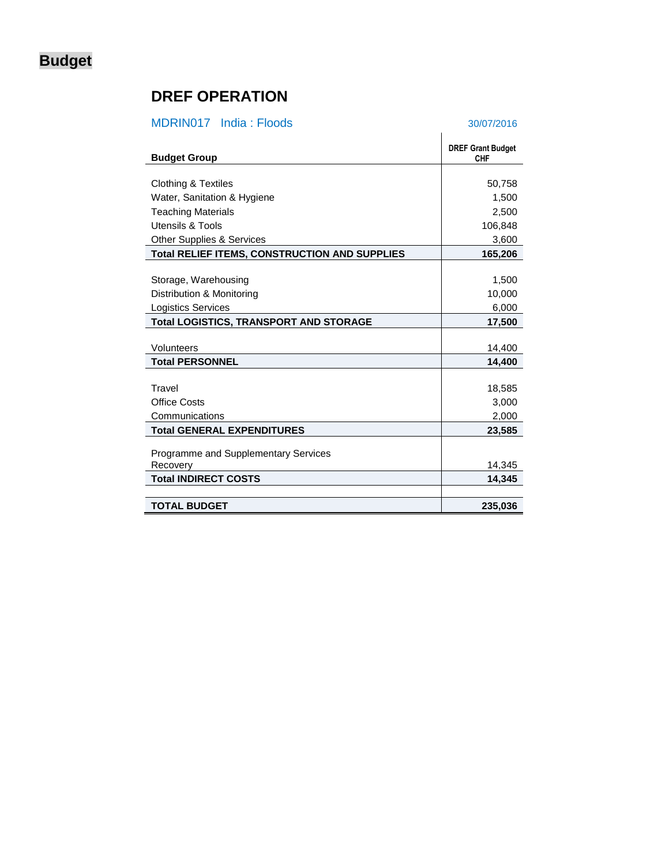# <span id="page-7-0"></span>**Budget**

## **DREF OPERATION**

# MDRIN017 India : Floods 30/07/2016

| <b>Budget Group</b>                                     | <b>DREF Grant Budget</b><br><b>CHF</b> |
|---------------------------------------------------------|----------------------------------------|
|                                                         |                                        |
| Clothing & Textiles                                     | 50,758                                 |
| Water, Sanitation & Hygiene                             | 1,500                                  |
| <b>Teaching Materials</b>                               | 2,500                                  |
| Utensils & Tools                                        | 106,848                                |
| <b>Other Supplies &amp; Services</b>                    | 3,600                                  |
| <b>Total RELIEF ITEMS, CONSTRUCTION AND SUPPLIES</b>    | 165,206                                |
|                                                         |                                        |
| Storage, Warehousing                                    | 1,500                                  |
| Distribution & Monitoring                               | 10,000                                 |
| <b>Logistics Services</b>                               | 6,000                                  |
| <b>Total LOGISTICS, TRANSPORT AND STORAGE</b>           | 17,500                                 |
|                                                         |                                        |
| Volunteers                                              | 14,400                                 |
| <b>Total PERSONNEL</b>                                  | 14,400                                 |
|                                                         |                                        |
| Travel                                                  | 18,585                                 |
| Office Costs                                            | 3,000                                  |
| Communications                                          | 2,000                                  |
| <b>Total GENERAL EXPENDITURES</b>                       | 23,585                                 |
|                                                         |                                        |
| <b>Programme and Supplementary Services</b><br>Recovery | 14,345                                 |
| <b>Total INDIRECT COSTS</b>                             | 14,345                                 |
|                                                         |                                        |
| <b>TOTAL BUDGET</b>                                     | 235,036                                |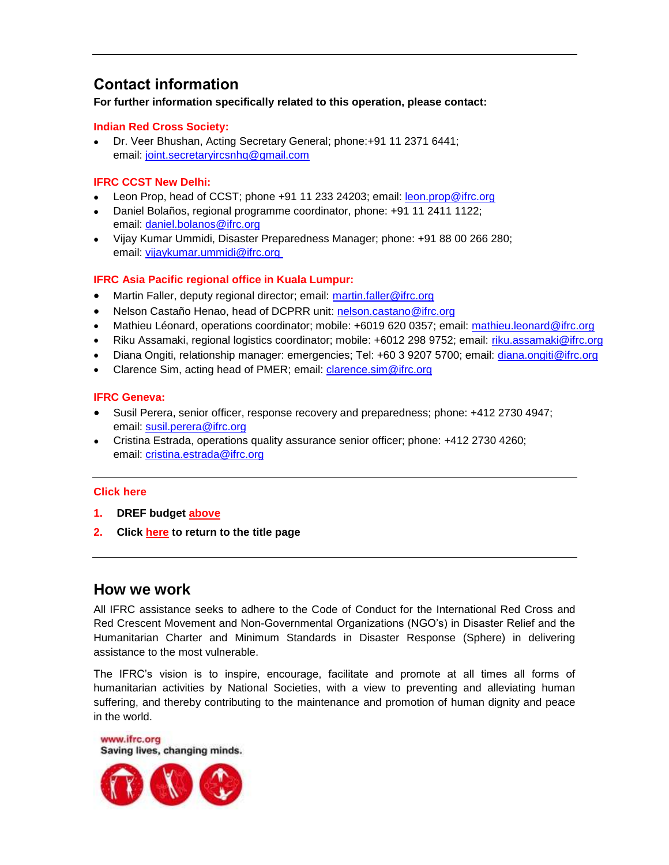### **Contact information**

#### **For further information specifically related to this operation, please contact:**

#### **Indian Red Cross Society:**

 Dr. Veer Bhushan, Acting Secretary General; phone:+91 11 2371 6441; email: [joint.secretaryircsnhq@gmail.com](mailto:joint.secretaryircsnhq@gmail.com)

#### **IFRC CCST New Delhi:**

- Leon Prop, head of CCST; phone +91 11 233 24203; email: [leon.prop@ifrc.org](mailto:leon.prop@ifrc.org)
- Daniel Bolaños, regional programme coordinator, phone: +91 11 2411 1122; email: [daniel.bolanos@ifrc.org](mailto:daniel.bolanos@ifrc.org)
- Vijay Kumar Ummidi, Disaster Preparedness Manager; phone: +91 88 00 266 280; email: [vijaykumar.ummidi@ifrc.org](mailto:vijaykumar.ummidi@ifrc.org)

#### **IFRC Asia Pacific regional office in Kuala Lumpur:**

- Martin Faller, deputy regional director; email: [martin.faller@ifrc.org](mailto:martin.faller@ifrc.org)
- Nelson Castaño Henao, head of DCPRR unit: [nelson.castano@ifrc.org](mailto:nelson.castano@ifrc.org)
- Mathieu Léonard, operations coordinator; mobile: +6019 620 0357; email: [mathieu.leonard@ifrc.org](mailto:mathieu.leonard@ifrc.org)
- Riku Assamaki, regional logistics coordinator; mobile: +6012 298 9752; email: [riku.assamaki@ifrc.org](mailto:alka.kapoorsharma@ifrc.org)
- Diana Ongiti, relationship manager: emergencies; Tel: +60 3 9207 5700; email: [diana.ongiti@ifrc.org](mailto:diana.ongiti@ifrc.org)
- Clarence Sim, acting head of PMER; email: [clarence.sim@ifrc.org](mailto:clarence.sim@ifrc.org)

#### **IFRC Geneva:**

- Susil Perera, senior officer, response recovery and preparedness; phone: +412 2730 4947; email: [susil.perera@ifrc.org](mailto:susil.perera@ifrc.org)
- Cristina Estrada, operations quality assurance senior officer; phone: +412 2730 4260; email: [cristina.estrada@ifrc.org](mailto:cristina.estrada@ifrc.org)

#### **Click here**

- **1. [DREF budget above](#page-7-0)**
- **2. Click here [to return to the title page](#page-0-0)**

### **How we work**

All IFRC assistance seeks to adhere to the Code of Conduct for the International Red Cross and Red Crescent Movement and Non-Governmental Organizations (NGO's) in Disaster Relief and the Humanitarian Charter and Minimum Standards in Disaster Response (Sphere) in delivering assistance to the most vulnerable.

The IFRC's vision is to inspire, encourage, facilitate and promote at all times all forms of humanitarian activities by National Societies, with a view to preventing and alleviating human suffering, and thereby contributing to the maintenance and promotion of human dignity and peace in the world.

www.ifrc.org Saving lives, changing minds.